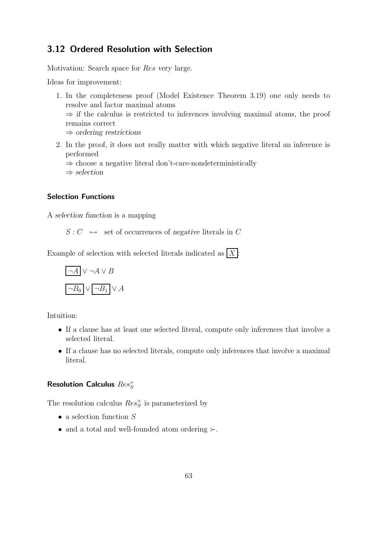## 3.12 Ordered Resolution with Selection

Motivation: Search space for Res *very* large.

Ideas for improvement:

- 1. In the completeness proof (Model Existence Theorem 3.19) one only needs to resolve and factor maximal atoms  $\Rightarrow$  if the calculus is restricted to inferences involving maximal atoms, the proof remains correct ⇒ *ordering restrictions*
- 2. In the proof, it does not really matter with which negative literal an inference is performed

⇒ choose a negative literal don't-care-nondeterministically

⇒ *selection*

## Selection Functions

A *selection function* is a mapping

 $S: C \rightarrow$  set of occurrences of *negative* literals in C

Example of selection with selected literals indicated as  $|X|$ :

$$
\boxed{\neg A} \lor \neg A \lor B
$$
  

$$
\boxed{\neg B_0} \lor \boxed{\neg B_1} \lor A
$$

Intuition:

- If a clause has at least one selected literal, compute only inferences that involve a selected literal.
- If a clause has no selected literals, compute only inferences that involve a maximal literal.

# Resolution Calculus  $Res_S^{\succ}$

The resolution calculus  $Res_{S}^{\succ}$  is parameterized by

- $\bullet\,$  a selection function  $S$
- and a total and well-founded atom ordering ≻.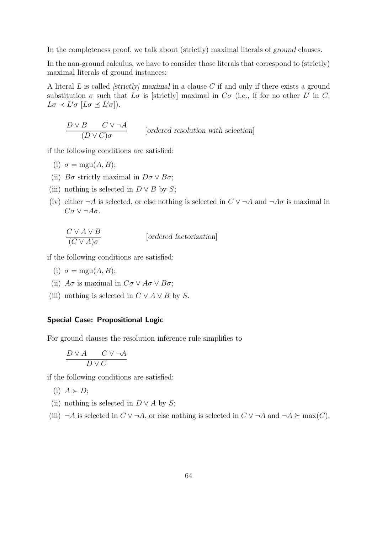In the completeness proof, we talk about (strictly) maximal literals of *ground* clauses.

In the non-ground calculus, we have to consider those literals that correspond to (strictly) maximal literals of ground instances:

A literal L is called *[strictly] maximal* in a clause C if and only if there exists a ground substitution  $\sigma$  such that  $L\sigma$  is [strictly] maximal in  $C\sigma$  (i.e., if for no other L' in C:  $L\sigma \prec L'\sigma$   $[L\sigma \preceq L'\sigma]$ ).

$$
\frac{D \vee B \quad C \vee \neg A}{(D \vee C)\sigma}
$$
 [ordered resolution with selection]

if the following conditions are satisfied:

- (i)  $\sigma = \text{mgu}(A, B);$
- (ii)  $B\sigma$  strictly maximal in  $D\sigma \vee B\sigma$ ;
- (iii) nothing is selected in  $D \vee B$  by S;
- (iv) either  $\neg A$  is selected, or else nothing is selected in  $C \vee \neg A$  and  $\neg A\sigma$  is maximal in  $C\sigma \vee \neg A\sigma.$

$$
\frac{C \vee A \vee B}{(C \vee A)\sigma}
$$
 [ordered factorization]

if the following conditions are satisfied:

- (i)  $\sigma = \text{mgu}(A, B);$
- (ii)  $A\sigma$  is maximal in  $C\sigma \vee A\sigma \vee B\sigma$ ;
- (iii) nothing is selected in  $C \vee A \vee B$  by S.

#### Special Case: Propositional Logic

For ground clauses the resolution inference rule simplifies to

$$
\frac{D\lor A \qquad C\lor\neg A}{D\lor C}
$$

if the following conditions are satisfied:

- (i)  $A \succ D$ ;
- (ii) nothing is selected in  $D \vee A$  by S;
- (iii)  $\neg A$  is selected in  $C \vee \neg A$ , or else nothing is selected in  $C \vee \neg A$  and  $\neg A \succeq \max(C)$ .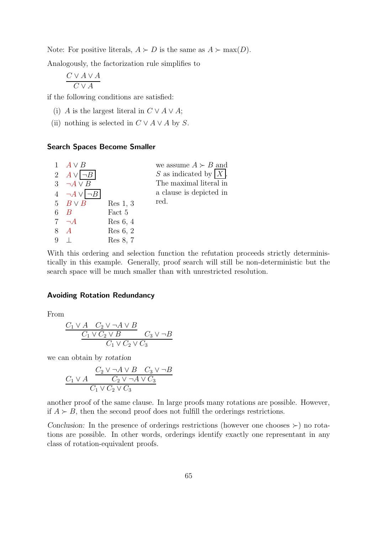Note: For positive literals,  $A \succ D$  is the same as  $A \succ max(D)$ .

Analogously, the factorization rule simplifies to

$$
\frac{C \vee A \vee A}{C \vee A}
$$

if the following conditions are satisfied:

- (i) A is the largest literal in  $C \vee A \vee A$ ;
- (ii) nothing is selected in  $C \vee A \vee A$  by S.

## Search Spaces Become Smaller

|   | $1 \quad A \vee B$           |          | we assume $A \succ B$ and |
|---|------------------------------|----------|---------------------------|
|   | 2 $A \vee \neg B$            |          | S as indicated by $ X $ . |
|   | 3 $\neg A \vee B$            |          | The maximal literal in    |
|   | $4 \quad \neg A \lor \neg B$ |          | a clause is depicted in   |
|   | 5 $B \vee B$                 | Res 1, 3 | red.                      |
|   | $6\quad B$                   | Fact 5   |                           |
|   | $7 - A$                      | Res 6, 4 |                           |
|   | 8 A                          | Res 6, 2 |                           |
| 9 |                              | Res 8, 7 |                           |
|   |                              |          |                           |

With this ordering and selection function the refutation proceeds strictly deterministically in this example. Generally, proof search will still be non-deterministic but the search space will be much smaller than with unrestricted resolution.

## Avoiding Rotation Redundancy

From

$$
\frac{C_1 \vee A \quad C_2 \vee \neg A \vee B}{C_1 \vee C_2 \vee B} \quad C_3 \vee \neg B
$$
  

$$
C_1 \vee C_2 \vee C_3
$$

we can obtain by *rotation*

$$
\frac{C_2 \vee \neg A \vee B \quad C_3 \vee \neg B}{C_1 \vee C_2 \vee \neg A \vee C_3}
$$
  

$$
C_1 \vee C_2 \vee C_3
$$

another proof of the same clause. In large proofs many rotations are possible. However, if  $A$  ≻ B, then the second proof does not fulfill the orderings restrictions.

*Conclusion:* In the presence of orderings restrictions (however one chooses  $\succ$ ) no rotations are possible. In other words, orderings identify exactly one representant in any class of rotation-equivalent proofs.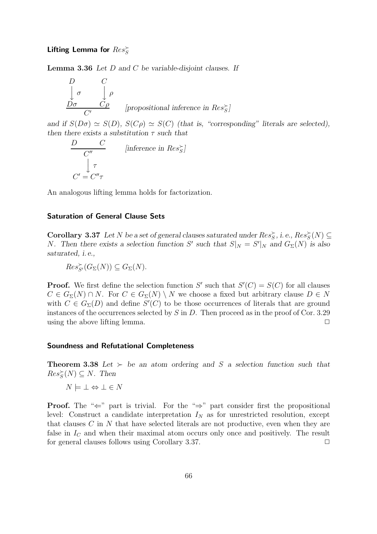# Lifting Lemma for  $Res_{S}^{\succ}$

Lemma 3.36 *Let* D *and* C *be variable-disjoint clauses. If*

$$
\begin{array}{ccc}\nD & C \\
\downarrow \sigma & \downarrow \rho \\
\hline\n\sigma & C\rho\n\end{array}
$$
\n[propositional inference in Res<sub>S</sub>']

*and if*  $S(D\sigma) \simeq S(D)$ *,*  $S(C\rho) \simeq S(C)$  *(that is, "corresponding" literals are selected), then there exists a substitution* τ *such that*

$$
\begin{array}{ccc}\nD & C & \text{[inference in Res}_{S}^{\times} \\
& \downarrow \tau & \\
C' = C''\tau & & \\
\end{array}
$$

An analogous lifting lemma holds for factorization.

## Saturation of General Clause Sets

**Corollary 3.37** Let N be a set of general clauses saturated under  $Res_{S}^{\succ}$ , i.e.,  $Res_{S}^{\succ}(N) \subseteq$ N. Then there exists a selection function S' such that  $S|_N = S'|_N$  and  $G_{\Sigma}(N)$  is also *saturated, i.e.,*

 $Res_{S'}^{\succ}(G_{\Sigma}(N)) \subseteq G_{\Sigma}(N).$ 

**Proof.** We first define the selection function S' such that  $S'(C) = S(C)$  for all clauses  $C \in G_{\Sigma}(N) \cap N$ . For  $C \in G_{\Sigma}(N) \setminus N$  we choose a fixed but arbitrary clause  $D \in N$ with  $C \in G_{\Sigma}(D)$  and define  $S'(C)$  to be those occurrences of literals that are ground instances of the occurrences selected by  $S$  in  $D$ . Then proceed as in the proof of Cor. 3.29 using the above lifting lemma.  $\Box$ 

#### Soundness and Refutational Completeness

**Theorem 3.38** *Let* ≻ *be an atom ordering and S a selection function such that*  $Res_{S}^{&}(N) \subseteq N$ . Then

 $N \models \bot \Leftrightarrow \bot \in N$ 

**Proof.** The " $\Leftarrow$ " part is trivial. For the " $\Rightarrow$ " part consider first the propositional level: Construct a candidate interpretation  $I_N$  as for unrestricted resolution, except that clauses C in N that have selected literals are not productive, even when they are false in  $I<sub>C</sub>$  and when their maximal atom occurs only once and positively. The result for general clauses follows using Corollary 3.37.  $\Box$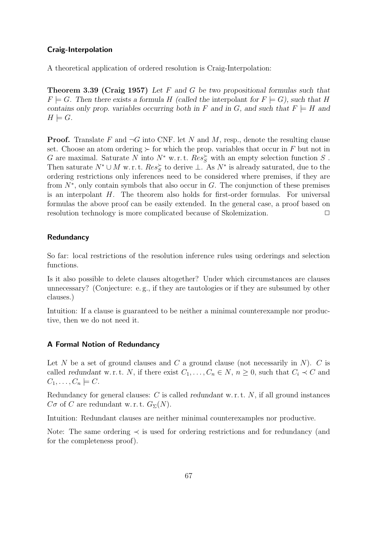## Craig-Interpolation

A theoretical application of ordered resolution is Craig-Interpolation:

Theorem 3.39 (Craig 1957) *Let* F *and* G *be two propositional formulas such that*  $F \models G$ . Then there exists a formula H (called the interpolant for  $F \models G$ ), such that H *contains only prop. variables occurring both in* F and in G, and such that  $F \models H$  and  $H \models G$ .

**Proof.** Translate F and  $\neg G$  into CNF. let N and M, resp., denote the resulting clause set. Choose an atom ordering  $\succeq$  for which the prop. variables that occur in F but not in G are maximal. Saturate N into  $N^*$  w.r.t.  $Res_{S}^{\sim}$  with an empty selection function S. Then saturate  $N^* \cup M$  w.r.t.  $Res_S^{\succ}$  to derive  $\bot$ . As  $N^*$  is already saturated, due to the ordering restrictions only inferences need to be considered where premises, if they are from  $N^*$ , only contain symbols that also occur in G. The conjunction of these premises is an interpolant H. The theorem also holds for first-order formulas. For universal formulas the above proof can be easily extended. In the general case, a proof based on resolution technology is more complicated because of Skolemization.  $\Box$ 

## Redundancy

So far: local restrictions of the resolution inference rules using orderings and selection functions.

Is it also possible to delete clauses altogether? Under which circumstances are clauses unnecessary? (Conjecture: e. g., if they are tautologies or if they are subsumed by other clauses.)

Intuition: If a clause is guaranteed to be neither a minimal counterexample nor productive, then we do not need it.

## A Formal Notion of Redundancy

Let  $N$  be a set of ground clauses and  $C$  a ground clause (not necessarily in  $N$ ).  $C$  is called *redundant* w.r.t. N, if there exist  $C_1, \ldots, C_n \in N$ ,  $n \geq 0$ , such that  $C_i \prec C$  and  $C_1, \ldots, C_n \models C$ .

Redundancy for general clauses: C is called *redundant* w. r. t. N, if all ground instances  $C\sigma$  of C are redundant w.r.t.  $G_{\Sigma}(N)$ .

Intuition: Redundant clauses are neither minimal counterexamples nor productive.

Note: The same ordering ≺ is used for ordering restrictions and for redundancy (and for the completeness proof).